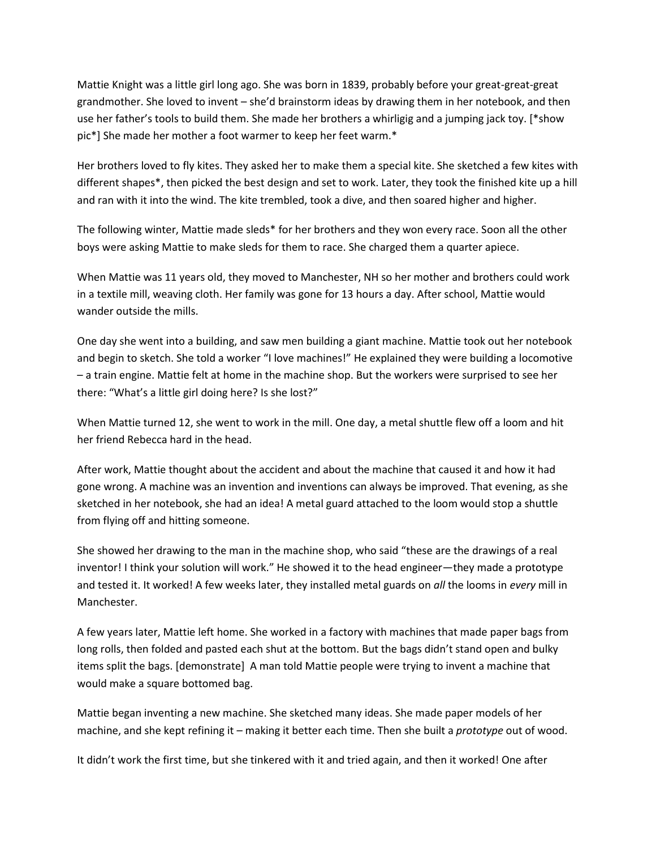Mattie Knight was a little girl long ago. She was born in 1839, probably before your great-great-great grandmother. She loved to invent – she'd brainstorm ideas by drawing them in her notebook, and then use her father's tools to build them. She made her brothers a whirligig and a jumping jack toy. [\*show pic\*] She made her mother a foot warmer to keep her feet warm.\*

Her brothers loved to fly kites. They asked her to make them a special kite. She sketched a few kites with different shapes\*, then picked the best design and set to work. Later, they took the finished kite up a hill and ran with it into the wind. The kite trembled, took a dive, and then soared higher and higher.

The following winter, Mattie made sleds\* for her brothers and they won every race. Soon all the other boys were asking Mattie to make sleds for them to race. She charged them a quarter apiece.

When Mattie was 11 years old, they moved to Manchester, NH so her mother and brothers could work in a textile mill, weaving cloth. Her family was gone for 13 hours a day. After school, Mattie would wander outside the mills.

One day she went into a building, and saw men building a giant machine. Mattie took out her notebook and begin to sketch. She told a worker "I love machines!" He explained they were building a locomotive – a train engine. Mattie felt at home in the machine shop. But the workers were surprised to see her there: "What's a little girl doing here? Is she lost?"

When Mattie turned 12, she went to work in the mill. One day, a metal shuttle flew off a loom and hit her friend Rebecca hard in the head.

After work, Mattie thought about the accident and about the machine that caused it and how it had gone wrong. A machine was an invention and inventions can always be improved. That evening, as she sketched in her notebook, she had an idea! A metal guard attached to the loom would stop a shuttle from flying off and hitting someone.

She showed her drawing to the man in the machine shop, who said "these are the drawings of a real inventor! I think your solution will work." He showed it to the head engineer—they made a prototype and tested it. It worked! A few weeks later, they installed metal guards on *all* the looms in *every* mill in Manchester.

A few years later, Mattie left home. She worked in a factory with machines that made paper bags from long rolls, then folded and pasted each shut at the bottom. But the bags didn't stand open and bulky items split the bags. [demonstrate] A man told Mattie people were trying to invent a machine that would make a square bottomed bag.

Mattie began inventing a new machine. She sketched many ideas. She made paper models of her machine, and she kept refining it – making it better each time. Then she built a *prototype* out of wood.

It didn't work the first time, but she tinkered with it and tried again, and then it worked! One after